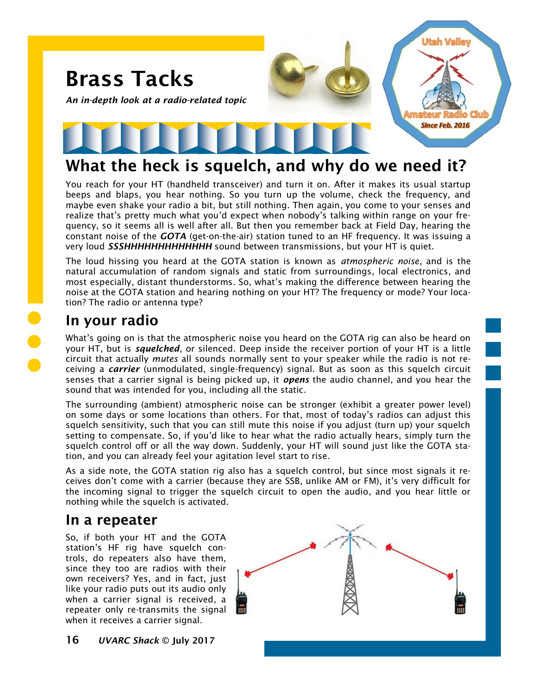

# **What the heck is squelch, and why do we need it?**

You reach for your HT (handheld transceiver) and turn it on. After it makes its usual startup beeps and blaps, you hear nothing. So you turn up the volume, check the frequency, and maybe even shake your radio a bit, but still nothing. Then again, you come to your senses and realize that's pretty much what you'd expect when nobody's talking within range on your frequency, so it seems all is well after all. But then you remember back at Field Day, hearing the constant noise of the *GOTA* (get-on-the-air) station tuned to an HF frequency. It was issuing a very loud *SSSHHHHHHHHHHHHHHH sound between transmissions, but your HT is quiet.* 

The loud hissing you heard at the GOTA station is known as *atmospheric noise*, and is the natural accumulation of random signals and static from surroundings, local electronics, and most especially, distant thunderstorms. So, what's making the difference between hearing the noise at the GOTA station and hearing nothing on your HT? The frequency or mode? Your location? The radio or antenna type?

### **In your radio**

What's going on is that the atmospheric noise you heard on the GOTA rig can also be heard on your HT, but is *squelched*, or silenced. Deep inside the receiver portion of your HT is a little circuit that actually *mutes* all sounds normally sent to your speaker while the radio is not receiving a *carrier* (unmodulated, single-frequency) signal. But as soon as this squelch circuit senses that a carrier signal is being picked up, it *opens* the audio channel, and you hear the sound that was intended for you, including all the static.

The surrounding (ambient) atmospheric noise can be stronger (exhibit a greater power level) on some days or some locations than others. For that, most of today's radios can adjust this squelch sensitivity, such that you can still mute this noise if you adjust (turn up) your squelch setting to compensate. So, if you'd like to hear what the radio actually hears, simply turn the squelch control off or all the way down. Suddenly, your HT will sound just like the GOTA station, and you can already feel your agitation level start to rise.

As a side note, the GOTA station rig also has a squelch control, but since most signals it receives don't come with a carrier (because they are SSB, unlike AM or FM), it's very difficult for the incoming signal to trigger the squelch circuit to open the audio, and you hear little or nothing while the squelch is activated.

#### **In a repeater**

So, if both your HT and the GOTA station's HF rig have squelch controls, do repeaters also have them, since they too are radios with their own receivers? Yes, and in fact, just like your radio puts out its audio only when a carrier signal is received, a repeater only re-transmits the signal when it receives a carrier signal.